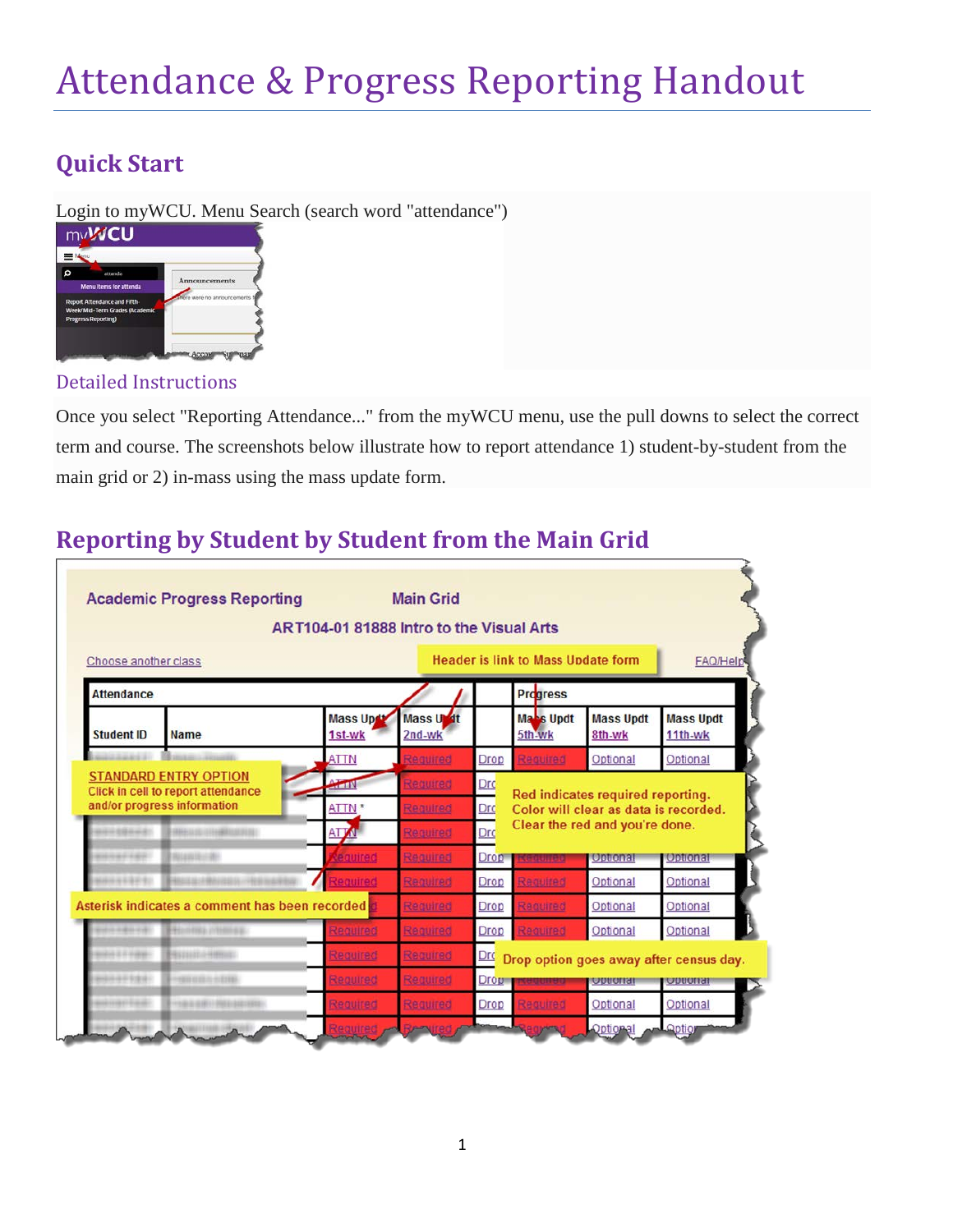# Attendance & Progress Reporting Handout

## **Quick Start**

Login to myWCU. Menu Search (search word "attendance")



#### Detailed Instructions

Once you select "Reporting Attendance..." from the myWCU menu, use the pull downs to select the correct term and course. The screenshots below illustrate how to report attendance 1) student-by-student from the main grid or 2) in-mass using the mass update form.

## **Reporting by Student by Student from the Main Grid**

| Choose another class                                                               |                                                  | Header is link to Mass Update form |                     |                   |                                                                            |                            |                             |
|------------------------------------------------------------------------------------|--------------------------------------------------|------------------------------------|---------------------|-------------------|----------------------------------------------------------------------------|----------------------------|-----------------------------|
| <b>Attendance</b>                                                                  |                                                  |                                    |                     |                   | <b>Progress</b>                                                            |                            |                             |
| <b>Student ID</b>                                                                  | <b>Name</b>                                      | Mass Upd<br>1st-wk                 | Mass Undt<br>2nd-wk |                   | Ma <sub>s</sub> Updt<br>5th-wk                                             | <b>Mass Updt</b><br>8th-wk | <b>Mass Updt</b><br>11th-wk |
|                                                                                    |                                                  | <b>ATTN</b>                        | Required            | Drop              | Required                                                                   | Optional                   | Optional                    |
| <b>STANDARD ENTRY OPTION</b><br>ATTIN<br><b>Click in cell to report attendance</b> |                                                  |                                    | Required            | Drc               | Red indicates required reporting.<br>Color will clear as data is recorded. |                            |                             |
| and/or progress information<br>ATTN <sup>*</sup>                                   |                                                  |                                    | Required            | Drc               |                                                                            |                            |                             |
| 10121                                                                              | <b>SHELLIGHTENBRUCHER</b>                        | <b>ATTA</b>                        | Required            | Drc               | Clear the red and you're done.                                             |                            |                             |
| <b>WEIGHT</b>                                                                      | <b>BROWNSHIP</b>                                 | <b>Required</b>                    | Required            | <b>Drop</b>       | المطلبقة للفق                                                              | <b>Optional</b>            | Optional                    |
| 223241                                                                             |                                                  | Required                           | Required            | Drop              | Required                                                                   | Optional                   | Optional                    |
|                                                                                    | Asterisk indicates a comment has been recorded d |                                    | Required            | Drop              | Required                                                                   | Optional                   | Optional                    |
| <b>A MARK AND THE</b>                                                              | Hennis chinas.                                   | Required                           | Required            | Drop              | Required                                                                   | Optional                   | Optional                    |
| al i cam-                                                                          | <b>BUILD SHIPS</b>                               | Required                           | Required            | Drc               | Drop option goes away after census day.                                    |                            |                             |
|                                                                                    | $-$ 000 010 0 010 0                              | Required                           | Required            | Drop <sub>1</sub> | <u>teature o</u>                                                           | <b>Conduction</b>          | <b>I</b> COUGHER            |
| 122112                                                                             |                                                  |                                    |                     |                   |                                                                            |                            |                             |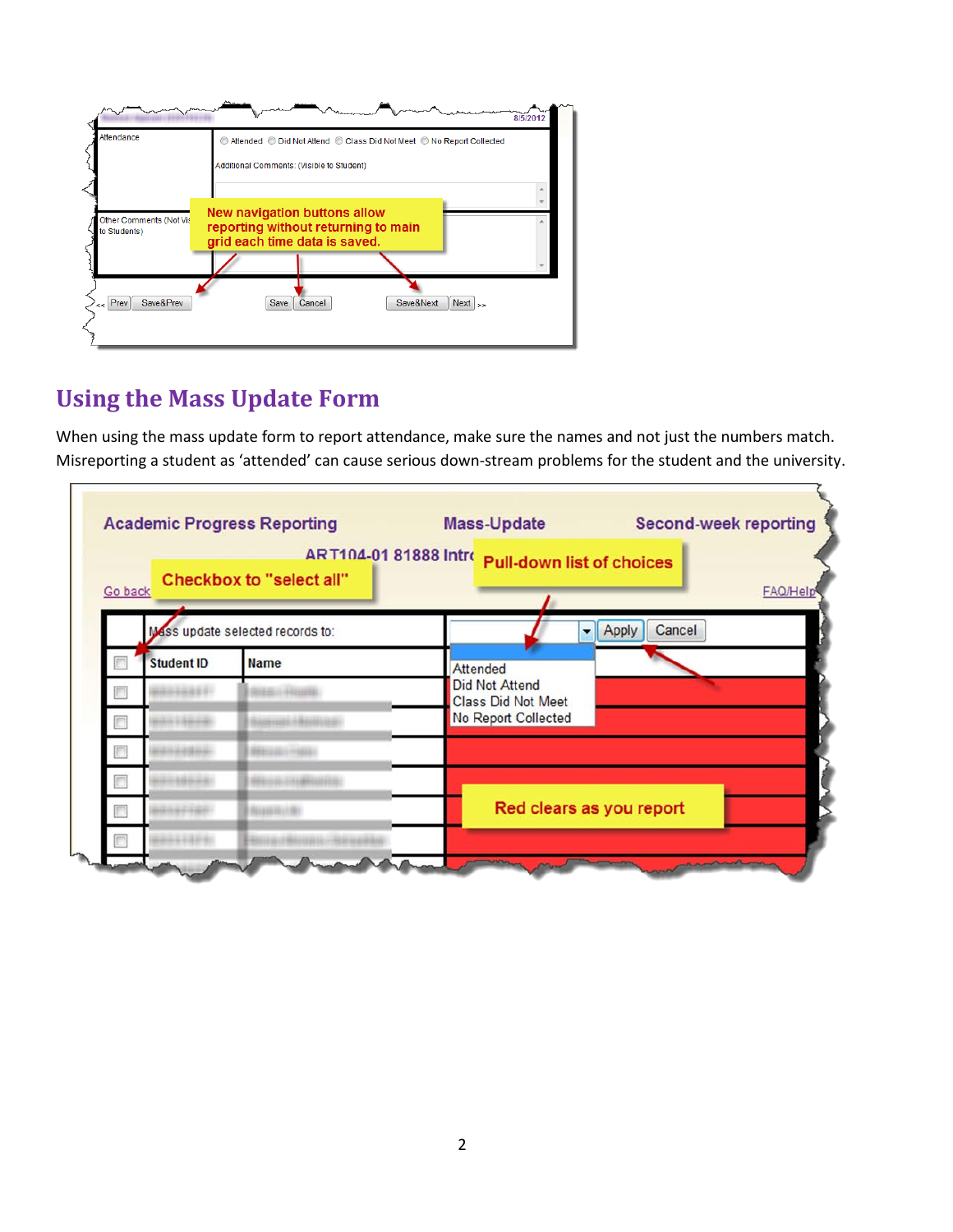

#### **Using the Mass Update Form**

When using the mass update form to report attendance, make sure the names and not just the numbers match. Misreporting a student as 'attended' can cause serious down-stream problems for the student and the university.

| Go back |                   | ART104-01 81888 Intro<br>Checkbox to "select all" | <b>Pull-down list of choices</b><br><b>FAQ/Hel</b> |  |  |  |  |
|---------|-------------------|---------------------------------------------------|----------------------------------------------------|--|--|--|--|
|         |                   | Mass update selected records to:                  | Cancel<br>Apply<br>۰                               |  |  |  |  |
|         | <b>Student ID</b> | <b>Name</b>                                       | <b>Attended</b>                                    |  |  |  |  |
|         |                   |                                                   | <b>Did Not Attend</b><br><b>Class Did Not Meet</b> |  |  |  |  |
|         |                   |                                                   | No Report Collected                                |  |  |  |  |
|         |                   |                                                   |                                                    |  |  |  |  |
|         |                   |                                                   |                                                    |  |  |  |  |
|         |                   |                                                   | Red clears as you report                           |  |  |  |  |